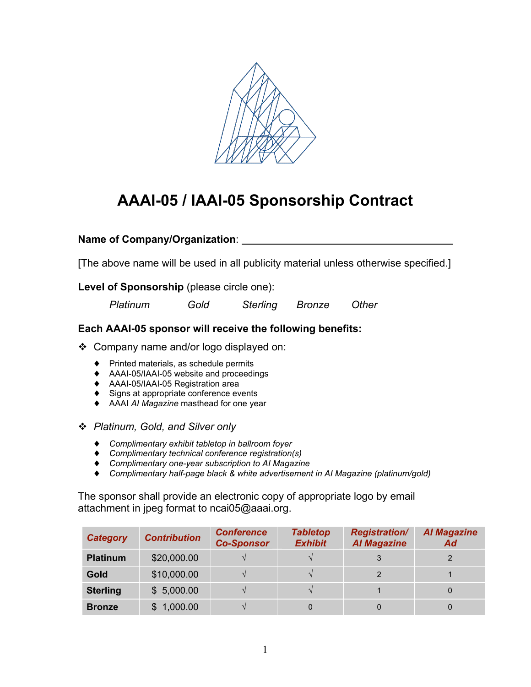

## **AAAI-05 / IAAI-05 Sponsorship Contract**

## **Name of Company/Organization**:

[The above name will be used in all publicity material unless otherwise specified.]

## **Level of Sponsorship** (please circle one):

*Platinum Gold Sterling Bronze Other*

## **Each AAAI-05 sponsor will receive the following benefits:**

Company name and/or logo displayed on:

- ♦ Printed materials, as schedule permits
- ♦ AAAI-05/IAAI-05 website and proceedings
- ♦ AAAI-05/IAAI-05 Registration area
- ♦ Signs at appropriate conference events
- ♦ AAAI *AI Magazine* masthead for one year
- *Platinum, Gold, and Silver only*
	- ♦ *Complimentary exhibit tabletop in ballroom foyer*
	- ♦ *Complimentary technical conference registration(s)*
	- ♦ *Complimentary one-year subscription to AI Magazine*
	- ♦ *Complimentary half-page black & white advertisement in AI Magazine (platinum/gold)*

The sponsor shall provide an electronic copy of appropriate logo by email attachment in jpeg format to ncai05@aaai.org.

| <b>Category</b> | <b>Contribution</b> | <b>Conference</b><br><b>Co-Sponsor</b> | <b>Tabletop</b><br><b>Exhibit</b> | <b>Registration/</b><br><b>Al Magazine</b> | <b>Al Magazine</b><br>Ad |
|-----------------|---------------------|----------------------------------------|-----------------------------------|--------------------------------------------|--------------------------|
| <b>Platinum</b> | \$20,000.00         |                                        |                                   |                                            |                          |
| Gold            | \$10,000.00         |                                        |                                   |                                            |                          |
| <b>Sterling</b> | \$5,000.00          |                                        |                                   |                                            |                          |
| <b>Bronze</b>   | \$1,000.00          |                                        |                                   |                                            |                          |